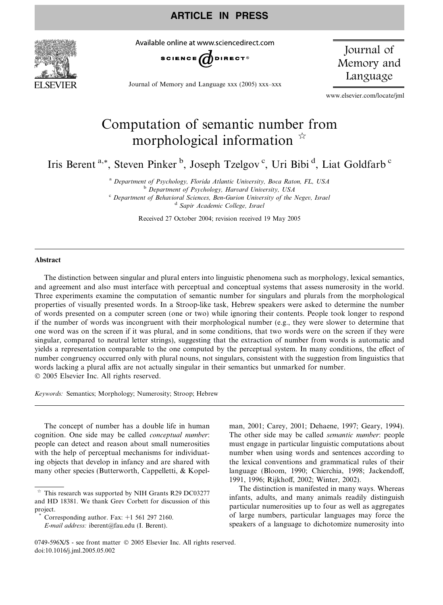

Available online at www.sciencedirect.com



Journal of Memory and Language xxx (2005) xxx–xxx

Journal of Memory and Language

www.elsevier.com/locate/jml

# Computation of semantic number from morphological information  $\overrightarrow{a}$

Iris Berent<sup>a,\*</sup>, Steven Pinker<sup>b</sup>, Joseph Tzelgov<sup>c</sup>, Uri Bibi<sup>d</sup>, Liat Goldfarb<sup>c</sup>

<sup>a</sup> Department of Psychology, Florida Atlantic University, Boca Raton, FL, USA b Department of Psychology, Harvard University, USA  $c$  Department of Behavioral Sciences, Ben-Gurion University of the Negev, Israel

<sup>d</sup> Sapir Academic College, Israel

Received 27 October 2004; revision received 19 May 2005

#### Abstract

The distinction between singular and plural enters into linguistic phenomena such as morphology, lexical semantics, and agreement and also must interface with perceptual and conceptual systems that assess numerosity in the world. Three experiments examine the computation of semantic number for singulars and plurals from the morphological properties of visually presented words. In a Stroop-like task, Hebrew speakers were asked to determine the number of words presented on a computer screen (one or two) while ignoring their contents. People took longer to respond if the number of words was incongruent with their morphological number (e.g., they were slower to determine that one word was on the screen if it was plural, and in some conditions, that two words were on the screen if they were singular, compared to neutral letter strings), suggesting that the extraction of number from words is automatic and yields a representation comparable to the one computed by the perceptual system. In many conditions, the effect of number congruency occurred only with plural nouns, not singulars, consistent with the suggestion from linguistics that words lacking a plural affix are not actually singular in their semantics but unmarked for number. 2005 Elsevier Inc. All rights reserved.

Keywords: Semantics; Morphology; Numerosity; Stroop; Hebrew

The concept of number has a double life in human cognition. One side may be called conceptual number: people can detect and reason about small numerosities with the help of perceptual mechanisms for individuating objects that develop in infancy and are shared with many other species (Butterworth, Cappelletti, & Kopelman, 2001; Carey, 2001; Dehaene, 1997; Geary, 1994). The other side may be called semantic number: people must engage in particular linguistic computations about number when using words and sentences according to the lexical conventions and grammatical rules of their language (Bloom, 1990; Chierchia, 1998; Jackendoff, 1991, 1996; Rijkhoff, 2002; Winter, 2002).

The distinction is manifested in many ways. Whereas infants, adults, and many animals readily distinguish particular numerosities up to four as well as aggregates of large numbers, particular languages may force the speakers of a language to dichotomize numerosity into

 $*$  This research was supported by NIH Grants R29 DC03277 and HD 18381. We thank Grev Corbett for discussion of this project.

Corresponding author. Fax:  $+1$  561 297 2160. E-mail address: iberent@fau.edu (I. Berent).

<sup>0749-596</sup>X/\$ - see front matter  $\odot$  2005 Elsevier Inc. All rights reserved. doi:10.1016/j.jml.2005.05.002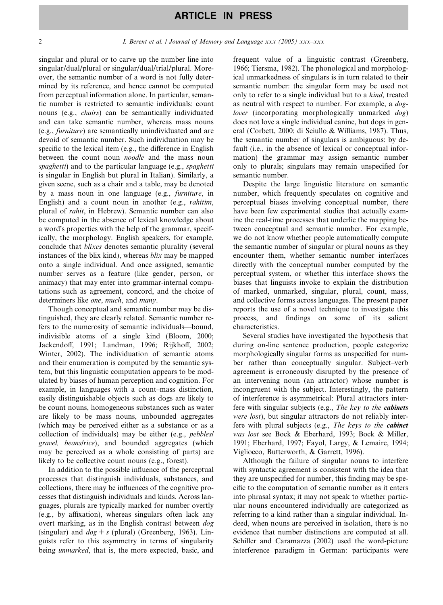singular and plural or to carve up the number line into singular/dual/plural or singular/dual/trial/plural. Moreover, the semantic number of a word is not fully determined by its reference, and hence cannot be computed from perceptual information alone. In particular, semantic number is restricted to semantic individuals: count nouns (e.g., chairs) can be semantically individuated and can take semantic number, whereas mass nouns (e.g., furniture) are semantically unindividuated and are devoid of semantic number. Such individuation may be specific to the lexical item (e.g., the difference in English between the count noun noodle and the mass noun spaghetti) and to the particular language (e.g., spaghetti is singular in English but plural in Italian). Similarly, a given scene, such as a chair and a table, may be denoted by a mass noun in one language (e.g., furniture, in English) and a count noun in another (e.g., rahitim, plural of rahit, in Hebrew). Semantic number can also be computed in the absence of lexical knowledge about a word's properties with the help of the grammar, specifically, the morphology. English speakers, for example, conclude that blixes denotes semantic plurality (several instances of the blix kind), whereas blix may be mapped onto a single individual. And once assigned, semantic number serves as a feature (like gender, person, or animacy) that may enter into grammar-internal computations such as agreement, concord, and the choice of determiners like one, much, and many.

Though conceptual and semantic number may be distinguished, they are clearly related. Semantic number refers to the numerosity of semantic individuals—bound, indivisible atoms of a single kind (Bloom, 2000; Jackendoff, 1991; Landman, 1996; Rijkhoff, 2002; Winter, 2002). The individuation of semantic atoms and their enumeration is computed by the semantic system, but this linguistic computation appears to be modulated by biases of human perception and cognition. For example, in languages with a count–mass distinction, easily distinguishable objects such as dogs are likely to be count nouns, homogeneous substances such as water are likely to be mass nouns, unbounded aggregates (which may be perceived either as a substance or as a collection of individuals) may be either (e.g., pebbles/ gravel, beans/rice), and bounded aggregates (which may be perceived as a whole consisting of parts) are likely to be collective count nouns (e.g., forest).

In addition to the possible influence of the perceptual processes that distinguish individuals, substances, and collections, there may be influences of the cognitive processes that distinguish individuals and kinds. Across languages, plurals are typically marked for number overtly (e.g., by affixation), whereas singulars often lack any overt marking, as in the English contrast between dog (singular) and  $dog + s$  (plural) (Greenberg, 1963). Linguists refer to this asymmetry in terms of singularity being unmarked, that is, the more expected, basic, and frequent value of a linguistic contrast (Greenberg, 1966; Tiersma, 1982). The phonological and morphological unmarkedness of singulars is in turn related to their semantic number: the singular form may be used not only to refer to a single individual but to a kind, treated as neutral with respect to number. For example, a doglover (incorporating morphologically unmarked dog) does not love a single individual canine, but dogs in general (Corbett, 2000; di Sciullo & Williams, 1987). Thus, the semantic number of singulars is ambiguous: by default (i.e., in the absence of lexical or conceptual information) the grammar may assign semantic number only to plurals; singulars may remain unspecified for semantic number.

Despite the large linguistic literature on semantic number, which frequently speculates on cognitive and perceptual biases involving conceptual number, there have been few experimental studies that actually examine the real-time processes that underlie the mapping between conceptual and semantic number. For example, we do not know whether people automatically compute the semantic number of singular or plural nouns as they encounter them, whether semantic number interfaces directly with the conceptual number computed by the perceptual system, or whether this interface shows the biases that linguists invoke to explain the distribution of marked, unmarked, singular, plural, count, mass, and collective forms across languages. The present paper reports the use of a novel technique to investigate this process, and findings on some of its salient characteristics.

Several studies have investigated the hypothesis that during on-line sentence production, people categorize morphologically singular forms as unspecified for number rather than conceptually singular. Subject–verb agreement is erroneously disrupted by the presence of an intervening noun (an attractor) whose number is incongruent with the subject. Interestingly, the pattern of interference is asymmetrical: Plural attractors interfere with singular subjects (e.g., The key to the cabinets were lost), but singular attractors do not reliably interfere with plural subjects (e.g., The keys to the cabinet was lost see Bock & Eberhard, 1993; Bock & Miller, 1991; Eberhard, 1997; Fayol, Largy, & Lemaire, 1994; Vigliocco, Butterworth, & Garrett, 1996).

Although the failure of singular nouns to interfere with syntactic agreement is consistent with the idea that they are unspecified for number, this finding may be specific to the computation of semantic number as it enters into phrasal syntax; it may not speak to whether particular nouns encountered individually are categorized as referring to a kind rather than a singular individual. Indeed, when nouns are perceived in isolation, there is no evidence that number distinctions are computed at all. Schiller and Caramazza (2002) used the word-picture interference paradigm in German: participants were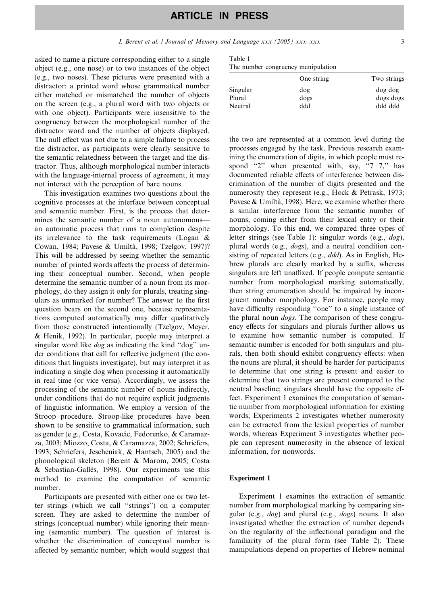I. Berent et al. / Journal of Memory and Language xxx (2005) xxx–xxx 3

asked to name a picture corresponding either to a single object (e.g., one nose) or to two instances of the object (e.g., two noses). These pictures were presented with a distractor: a printed word whose grammatical number either matched or mismatched the number of objects on the screen (e.g., a plural word with two objects or with one object). Participants were insensitive to the congruency between the morphological number of the distractor word and the number of objects displayed. The null effect was not due to a simple failure to process the distractor, as participants were clearly sensitive to the semantic relatedness between the target and the distractor. Thus, although morphological number interacts with the language-internal process of agreement, it may not interact with the perception of bare nouns.

This investigation examines two questions about the cognitive processes at the interface between conceptual and semantic number. First, is the process that determines the semantic number of a noun autonomous an automatic process that runs to completion despite its irrelevance to the task requirements (Logan & Cowan, 1984; Pavese & Umiltà, 1998; Tzelgov, 1997)? This will be addressed by seeing whether the semantic number of printed words affects the process of determining their conceptual number. Second, when people determine the semantic number of a noun from its morphology, do they assign it only for plurals, treating singulars as unmarked for number? The answer to the first question bears on the second one, because representations computed automatically may differ qualitatively from those constructed intentionally (Tzelgov, Meyer, & Henik, 1992). In particular, people may interpret a singular word like *dog* as indicating the kind "dog" under conditions that call for reflective judgment (the conditions that linguists investigate), but may interpret it as indicating a single dog when processing it automatically in real time (or vice versa). Accordingly, we assess the processing of the semantic number of nouns indirectly, under conditions that do not require explicit judgments of linguistic information. We employ a version of the Stroop procedure. Stroop-like procedures have been shown to be sensitive to grammatical information, such as gender (e.g., Costa, Kovacic, Fedorenko, & Caramazza, 2003; Miozzo, Costa, & Caramazza, 2002; Schriefers, 1993; Schriefers, Jescheniak, & Hantsch, 2005) and the phonological skeleton (Berent & Marom, 2005; Costa  $& Sebastian-Gallés, 1998$ . Our experiments use this method to examine the computation of semantic number.

Participants are presented with either one or two letter strings (which we call ''strings'') on a computer screen. They are asked to determine the number of strings (conceptual number) while ignoring their meaning (semantic number). The question of interest is whether the discrimination of conceptual number is affected by semantic number, which would suggest that

| `able |  |
|-------|--|
|       |  |

|  | The number congruency manipulation |  |
|--|------------------------------------|--|
|  |                                    |  |

|          | One string | Two strings |  |  |
|----------|------------|-------------|--|--|
| Singular | dog        | dog dog     |  |  |
| Plural   | dogs       | dogs dogs   |  |  |
| Neutral  | ddd        | ddd ddd     |  |  |

the two are represented at a common level during the processes engaged by the task. Previous research examining the enumeration of digits, in which people must respond "2" when presented with, say, " $7$  7," has documented reliable effects of interference between discrimination of the number of digits presented and the numerosity they represent (e.g., Hock & Petrask, 1973; Pavese & Umiltà, 1998). Here, we examine whether there is similar interference from the semantic number of nouns, coming either from their lexical entry or their morphology. To this end, we compared three types of letter strings (see Table 1): singular words (e.g., dog), plural words (e.g., dogs), and a neutral condition consisting of repeated letters (e.g., ddd). As in English, Hebrew plurals are clearly marked by a suffix, whereas singulars are left unaffixed. If people compute semantic number from morphological marking automatically, then string enumeration should be impaired by incongruent number morphology. For instance, people may have difficulty responding ''one'' to a single instance of the plural noun dogs. The comparison of these congruency effects for singulars and plurals further allows us to examine how semantic number is computed. If semantic number is encoded for both singulars and plurals, then both should exhibit congruency effects: when the nouns are plural, it should be harder for participants to determine that one string is present and easier to determine that two strings are present compared to the neutral baseline; singulars should have the opposite effect. Experiment 1 examines the computation of semantic number from morphological information for existing words; Experiments 2 investigates whether numerosity can be extracted from the lexical properties of number words, whereas Experiment 3 investigates whether people can represent numerosity in the absence of lexical information, for nonwords.

# Experiment 1

Experiment 1 examines the extraction of semantic number from morphological marking by comparing singular (e.g., dog) and plural (e.g., dogs) nouns. It also investigated whether the extraction of number depends on the regularity of the inflectional paradigm and the familiarity of the plural form (see Table 2). These manipulations depend on properties of Hebrew nominal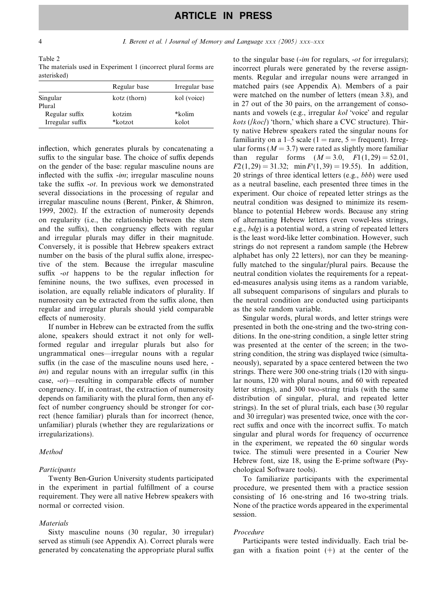#### 4 I. Berent et al. / Journal of Memory and Language xxx (2005) xxx–xxx

Table 2 The materials used in Experiment 1 (incorrect plural forms are asterisked)

|                  | Regular base | Irregular base |
|------------------|--------------|----------------|
| Singular         | kotz (thorn) | kol (voice)    |
| Plural           |              |                |
| Regular suffix   | kotzim       | *kolim         |
| Irregular suffix | *kotzot      | kolot          |

inflection, which generates plurals by concatenating a suffix to the singular base. The choice of suffix depends on the gender of the base: regular masculine nouns are inflected with the suffix -im; irregular masculine nouns take the suffix -ot. In previous work we demonstrated several dissociations in the processing of regular and irregular masculine nouns (Berent, Pinker, & Shimron, 1999, 2002). If the extraction of numerosity depends on regularity (i.e., the relationship between the stem and the suffix), then congruency effects with regular and irregular plurals may differ in their magnitude. Conversely, it is possible that Hebrew speakers extract number on the basis of the plural suffix alone, irrespective of the stem. Because the irregular masculine suffix *-ot* happens to be the regular inflection for feminine nouns, the two suffixes, even processed in isolation, are equally reliable indicators of plurality. If numerosity can be extracted from the suffix alone, then regular and irregular plurals should yield comparable effects of numerosity.

If number in Hebrew can be extracted from the suffix alone, speakers should extract it not only for wellformed regular and irregular plurals but also for ungrammatical ones—irregular nouns with a regular suffix (in the case of the masculine nouns used here, im) and regular nouns with an irregular suffix (in this case, -ot)—resulting in comparable effects of number congruency. If, in contrast, the extraction of numerosity depends on familiarity with the plural form, then any effect of number congruency should be stronger for correct (hence familiar) plurals than for incorrect (hence, unfamiliar) plurals (whether they are regularizations or irregularizations).

# Method

### **Participants**

Twenty Ben-Gurion University students participated in the experiment in partial fulfillment of a course requirement. They were all native Hebrew speakers with normal or corrected vision.

### **Materials**

Sixty masculine nouns (30 regular, 30 irregular) served as stimuli (see Appendix A). Correct plurals were generated by concatenating the appropriate plural suffix to the singular base (-im for regulars, -ot for irregulars); incorrect plurals were generated by the reverse assignments. Regular and irregular nouns were arranged in matched pairs (see Appendix A). Members of a pair were matched on the number of letters (mean 3.8), and in 27 out of the 30 pairs, on the arrangement of consonants and vowels (e.g., irregular kol 'voice' and regular  $kots$  (/ $koc$ /) 'thorn,' which share a CVC structure). Thirty native Hebrew speakers rated the singular nouns for familiarity on a 1–5 scale (1 = rare,  $5 =$  frequent). Irregular forms ( $M = 3.7$ ) were rated as slightly more familiar than regular forms  $(M = 3.0, F1(1, 29) = 52.01,$  $F2(1,29) = 31.32$ ; min  $F'(1,39) = 19.55$ ). In addition, 20 strings of three identical letters (e.g., bbb) were used as a neutral baseline, each presented three times in the experiment. Our choice of repeated letter strings as the neutral condition was designed to minimize its resemblance to potential Hebrew words. Because any string of alternating Hebrew letters (even vowel-less strings, e.g., bdg) is a potential word, a string of repeated letters is the least word-like letter combination. However, such strings do not represent a random sample (the Hebrew alphabet has only 22 letters), nor can they be meaningfully matched to the singular/plural pairs. Because the neutral condition violates the requirements for a repeated-measures analysis using items as a random variable, all subsequent comparisons of singulars and plurals to the neutral condition are conducted using participants as the sole random variable.

Singular words, plural words, and letter strings were presented in both the one-string and the two-string conditions. In the one-string condition, a single letter string was presented at the center of the screen; in the twostring condition, the string was displayed twice (simultaneously), separated by a space centered between the two strings. There were 300 one-string trials (120 with singular nouns, 120 with plural nouns, and 60 with repeated letter strings), and 300 two-string trials (with the same distribution of singular, plural, and repeated letter strings). In the set of plural trials, each base (30 regular and 30 irregular) was presented twice, once with the correct suffix and once with the incorrect suffix. To match singular and plural words for frequency of occurrence in the experiment, we repeated the 60 singular words twice. The stimuli were presented in a Courier New Hebrew font, size 18, using the E-prime software (Psychological Software tools).

To familiarize participants with the experimental procedure, we presented them with a practice session consisting of 16 one-string and 16 two-string trials. None of the practice words appeared in the experimental session.

### Procedure

Participants were tested individually. Each trial began with a fixation point  $(+)$  at the center of the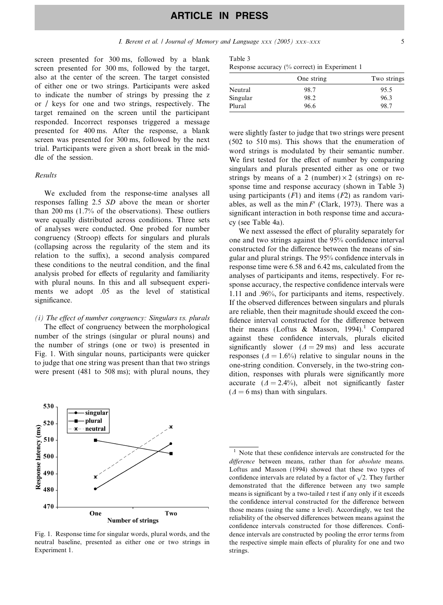screen presented for 300 ms, followed by a blank screen presented for 300 ms, followed by the target, also at the center of the screen. The target consisted of either one or two strings. Participants were asked to indicate the number of strings by pressing the z or / keys for one and two strings, respectively. The target remained on the screen until the participant responded. Incorrect responses triggered a message presented for 400 ms. After the response, a blank screen was presented for 300 ms, followed by the next trial. Participants were given a short break in the middle of the session.

#### Results

We excluded from the response-time analyses all responses falling 2.5 SD above the mean or shorter than 200 ms (1.7% of the observations). These outliers were equally distributed across conditions. Three sets of analyses were conducted. One probed for number congruency (Stroop) effects for singulars and plurals (collapsing across the regularity of the stem and its relation to the suffix), a second analysis compared these conditions to the neutral condition, and the final analysis probed for effects of regularity and familiarity with plural nouns. In this and all subsequent experiments we adopt .05 as the level of statistical significance.

# (i) The effect of number congruency: Singulars vs. plurals The effect of congruency between the morphological number of the strings (singular or plural nouns) and the number of strings (one or two) is presented in Fig. 1. With singular nouns, participants were quicker to judge that one string was present than that two strings were present (481 to 508 ms); with plural nouns, they

Table 3

Response accuracy (% correct) in Experiment 1

|          | One string | Two strings |  |  |
|----------|------------|-------------|--|--|
| Neutral  | 98.7       | 95.5        |  |  |
| Singular | 98.2       | 96.3        |  |  |
| Plural   | 96.6       | 98.7        |  |  |

were slightly faster to judge that two strings were present (502 to 510 ms). This shows that the enumeration of word strings is modulated by their semantic number. We first tested for the effect of number by comparing singulars and plurals presented either as one or two strings by means of a 2 (number)  $\times$  2 (strings) on response time and response accuracy (shown in Table 3) using participants  $(F1)$  and items  $(F2)$  as random variables, as well as the min $F'$  (Clark, 1973). There was a significant interaction in both response time and accuracy (see Table 4a).

We next assessed the effect of plurality separately for one and two strings against the 95% confidence interval constructed for the difference between the means of singular and plural strings. The 95% confidence intervals in response time were 6.58 and 6.42 ms, calculated from the analyses of participants and items, respectively. For response accuracy, the respective confidence intervals were 1.11 and .96%, for participants and items, respectively. If the observed differences between singulars and plurals are reliable, then their magnitude should exceed the confidence interval constructed for the difference between their means (Loftus & Masson, 1994).<sup>1</sup> Compared against these confidence intervals, plurals elicited significantly slower  $(A = 29 \text{ ms})$  and less accurate responses ( $\Delta = 1.6\%$ ) relative to singular nouns in the one-string condition. Conversely, in the two-string condition, responses with plurals were significantly more accurate  $(\Delta = 2.4\%)$ , albeit not significantly faster  $(4 = 6$  ms) than with singulars.



Fig. 1. Response time for singular words, plural words, and the neutral baseline, presented as either one or two strings in Experiment 1.

Note that these confidence intervals are constructed for the difference between means, rather than for *absolute* means. Loftus and Masson (1994) showed that these two types of confidence intervals are related by a factor of  $\sqrt{2}$ . They further demonstrated that the difference between any two sample means is significant by a two-tailed  $t$  test if any only if it exceeds the confidence interval constructed for the difference between those means (using the same  $\alpha$  level). Accordingly, we test the reliability of the observed differences between means against the confidence intervals constructed for those differences. Confidence intervals are constructed by pooling the error terms from the respective simple main effects of plurality for one and two strings.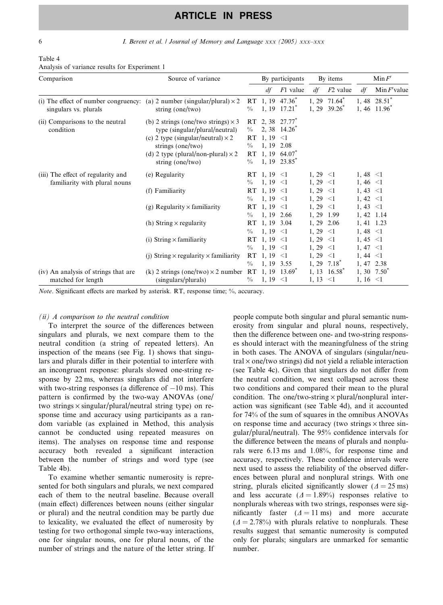6 I. Berent et al. / Journal of Memory and Language xxx (2005) xxx–xxx

| aр<br>ı۴ |
|----------|
|----------|

|  |  |  | Analysis of variance results for Experiment 1 |  |
|--|--|--|-----------------------------------------------|--|
|  |  |  |                                               |  |

| Comparison                                                                                              | Source of variance                                                                                                                                                                                               |  | By participants                      |                                                                                                                              | By items                         |                                            | Min F'                           |                                                   |
|---------------------------------------------------------------------------------------------------------|------------------------------------------------------------------------------------------------------------------------------------------------------------------------------------------------------------------|--|--------------------------------------|------------------------------------------------------------------------------------------------------------------------------|----------------------------------|--------------------------------------------|----------------------------------|---------------------------------------------------|
|                                                                                                         |                                                                                                                                                                                                                  |  | df                                   | $F1$ value                                                                                                                   | df                               | $F2$ value                                 | df                               | $Min F$ value                                     |
| (i) The effect of number congruency: (a) 2 number (singular/plural) $\times$ 2<br>singulars vs. plurals | string $(one/two)$                                                                                                                                                                                               |  |                                      | RT 1, 19 47.36 <sup>*</sup><br>$\%$ 1, 19 17.21 <sup>*</sup>                                                                 |                                  | 1, 29 71.64*<br>$1, 29$ 39.26 <sup>*</sup> |                                  | $1, 48$ $28.51$ <sup>*</sup><br>$1, 46$ $11.96^*$ |
| (ii) Comparisons to the neutral<br>condition                                                            | (b) 2 strings (one/two strings) $\times$ 3<br>type (singular/plural/neutral)<br>(c) 2 type (singular/neutral) $\times$ 2<br>strings (one/two)<br>(d) 2 type (plural/non-plural) $\times$ 2<br>string $(one/two)$ |  | RT $1, 19 \leq 1$<br>$\%$ 1, 19 2.08 | RT 2, 38 27.77 <sup>*</sup><br>$\%$ 2, 38 14.26 <sup>*</sup><br>RT 1, 19 64.07 <sup>*</sup><br>$\%$ 1, 19 23.85 <sup>*</sup> |                                  |                                            |                                  |                                                   |
| (iii) The effect of regularity and<br>familiarity with plural nouns                                     | (e) Regularity                                                                                                                                                                                                   |  | RT 1, 19 $\leq$ 1<br>$\%$ 1, 19      | $\leq$ 1                                                                                                                     | $1, 29 \leq 1$<br>$1, 29 \leq 1$ |                                            | 1, 48 $\leq$ 1<br>1, 46 $\leq$ 1 |                                                   |
|                                                                                                         | (f) Familiarity                                                                                                                                                                                                  |  | RT 1, 19 $\leq$ 1<br>$\%$ 1, 19 <1   |                                                                                                                              | 1, 29<br>1, 29                   | $\leq$ 1<br>$\leq$ 1                       | $1, 43 \leq 1$<br>$1, 42 \leq 1$ |                                                   |
|                                                                                                         | $(g)$ Regularity $\times$ familiarity                                                                                                                                                                            |  | RT 1, 19 $\leq$ 1<br>$\%$ 1, 19 2.66 |                                                                                                                              | $1, 29 \leq 1$<br>1, 29 1.99     |                                            | $1, 43 \leq 1$<br>1, 42 1.14     |                                                   |
|                                                                                                         | (h) String $\times$ regularity                                                                                                                                                                                   |  | RT 1, 19 3.04<br>$\%$ 1, 19          | $\leq$ 1                                                                                                                     | 1, 29 2.06<br>1, 29              | $\leq$ 1                                   | 1, 41 1.23<br>1, 48 $\leq$ 1     |                                                   |
|                                                                                                         | $(i)$ String $\times$ familiarity                                                                                                                                                                                |  | RT 1, 19<br>$\%$ 1, 19 <1            | $\leq$ 1                                                                                                                     | 1, 29<br>$1, 29 \leq 1$          | $\leq$ 1                                   | 1, 45 $\leq$ 1<br>1, 47 < 1      |                                                   |
|                                                                                                         | (i) String $\times$ regularity $\times$ familiarity                                                                                                                                                              |  | RT 1, 19 $\leq$ 1<br>$\%$ 1, 19 3.55 |                                                                                                                              | $1, 29 \leq 1$                   | $1, 29, 7.18^*$                            | $1, 44 \leq 1$<br>1, 47 2.38     |                                                   |
| (iv) An analysis of strings that are<br>matched for length                                              | (k) 2 strings (one/two) $\times$ 2 number RT 1, 19 13.69 <sup>*</sup><br>(singulars/plurals)                                                                                                                     |  | $\%$ 1, 19 <1                        |                                                                                                                              | $1, 13 \leq 1$                   | $1, 13, 16.58^*$                           | 1, 16 $\leq$ 1                   | $1, 30, 7.50^*$                                   |

Note. Significant effects are marked by asterisk. RT, response time; %, accuracy.

### $(ii)$  A comparison to the neutral condition

To interpret the source of the differences between singulars and plurals, we next compare them to the neutral condition (a string of repeated letters). An inspection of the means (see Fig. 1) shows that singulars and plurals differ in their potential to interfere with an incongruent response: plurals slowed one-string response by 22 ms, whereas singulars did not interfere with two-string responses (a difference of  $-10$  ms). This pattern is confirmed by the two-way ANOVAs (one/ two strings  $\times$  singular/plural/neutral string type) on response time and accuracy using participants as a random variable (as explained in Method, this analysis cannot be conducted using repeated measures on items). The analyses on response time and response accuracy both revealed a significant interaction between the number of strings and word type (see Table 4b).

To examine whether semantic numerosity is represented for both singulars and plurals, we next compared each of them to the neutral baseline. Because overall (main effect) differences between nouns (either singular or plural) and the neutral condition may be partly due to lexicality, we evaluated the effect of numerosity by testing for two orthogonal simple two-way interactions, one for singular nouns, one for plural nouns, of the number of strings and the nature of the letter string. If people compute both singular and plural semantic numerosity from singular and plural nouns, respectively, then the difference between one- and two-string responses should interact with the meaningfulness of the string in both cases. The ANOVA of singulars (singular/neu $tral \times one/two$  strings) did not yield a reliable interaction (see Table 4c). Given that singulars do not differ from the neutral condition, we next collapsed across these two conditions and compared their mean to the plural condition. The one/two-string  $\times$  plural/nonplural interaction was significant (see Table 4d), and it accounted for 74% of the sum of squares in the omnibus ANOVAs on response time and accuracy (two strings  $\times$  three singular/plural/neutral). The 95% confidence intervals for the difference between the means of plurals and nonplurals were 6.13 ms and 1.08%, for response time and accuracy, respectively. These confidence intervals were next used to assess the reliability of the observed differences between plural and nonplural strings. With one string, plurals elicited significantly slower ( $\Delta = 25$  ms) and less accurate  $(\Delta = 1.89\%)$  responses relative to nonplurals whereas with two strings, responses were significantly faster  $(A = 11 \text{ ms})$  and more accurate  $(\Delta = 2.78\%)$  with plurals relative to nonplurals. These results suggest that semantic numerosity is computed only for plurals; singulars are unmarked for semantic number.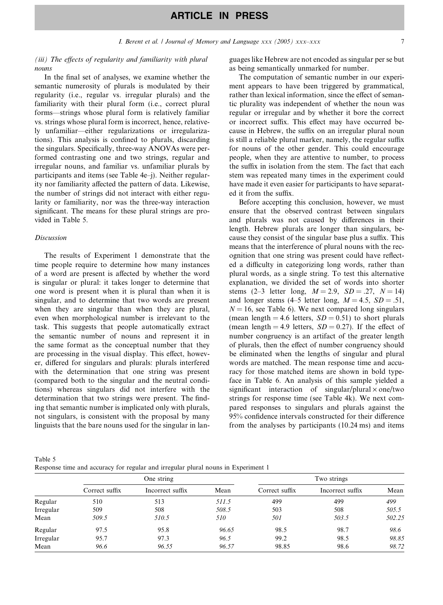### (iii) The effects of regularity and familiarity with plural nouns

In the final set of analyses, we examine whether the semantic numerosity of plurals is modulated by their regularity (i.e., regular vs. irregular plurals) and the familiarity with their plural form (i.e., correct plural forms—strings whose plural form is relatively familiar vs. strings whose plural form is incorrect, hence, relatively unfamiliar—either regularizations or irregularizations). This analysis is confined to plurals, discarding the singulars. Specifically, three-way ANOVAs were performed contrasting one and two strings, regular and irregular nouns, and familiar vs. unfamiliar plurals by participants and items (see Table 4e–j). Neither regularity nor familiarity affected the pattern of data. Likewise, the number of strings did not interact with either regularity or familiarity, nor was the three-way interaction significant. The means for these plural strings are provided in Table 5.

# Discussion

The results of Experiment 1 demonstrate that the time people require to determine how many instances of a word are present is affected by whether the word is singular or plural: it takes longer to determine that one word is present when it is plural than when it is singular, and to determine that two words are present when they are singular than when they are plural, even when morphological number is irrelevant to the task. This suggests that people automatically extract the semantic number of nouns and represent it in the same format as the conceptual number that they are processing in the visual display. This effect, however, differed for singulars and plurals: plurals interfered with the determination that one string was present (compared both to the singular and the neutral conditions) whereas singulars did not interfere with the determination that two strings were present. The finding that semantic number is implicated only with plurals, not singulars, is consistent with the proposal by many linguists that the bare nouns used for the singular in languages like Hebrew are not encoded as singular per se but as being semantically unmarked for number.

The computation of semantic number in our experiment appears to have been triggered by grammatical, rather than lexical information, since the effect of semantic plurality was independent of whether the noun was regular or irregular and by whether it bore the correct or incorrect suffix. This effect may have occurred because in Hebrew, the suffix on an irregular plural noun is still a reliable plural marker, namely, the regular suffix for nouns of the other gender. This could encourage people, when they are attentive to number, to process the suffix in isolation from the stem. The fact that each stem was repeated many times in the experiment could have made it even easier for participants to have separated it from the suffix.

Before accepting this conclusion, however, we must ensure that the observed contrast between singulars and plurals was not caused by differences in their length. Hebrew plurals are longer than singulars, because they consist of the singular base plus a suffix. This means that the interference of plural nouns with the recognition that one string was present could have reflected a difficulty in categorizing long words, rather than plural words, as a single string. To test this alternative explanation, we divided the set of words into shorter stems (2–3 letter long,  $M = 2.9$ ,  $SD = .27$ ,  $N = 14$ ) and longer stems (4–5 letter long,  $M = 4.5$ ,  $SD = .51$ ,  $N = 16$ , see Table 6). We next compared long singulars (mean length = 4.6 letters,  $SD = 0.51$ ) to short plurals (mean length = 4.9 letters,  $SD = 0.27$ ). If the effect of number congruency is an artifact of the greater length of plurals, then the effect of number congruency should be eliminated when the lengths of singular and plural words are matched. The mean response time and accuracy for those matched items are shown in bold typeface in Table 6. An analysis of this sample yielded a significant interaction of singular/plural  $\times$  one/two strings for response time (see Table 4k). We next compared responses to singulars and plurals against the 95% confidence intervals constructed for their difference from the analyses by participants (10.24 ms) and items

Table 5 Response time and accuracy for regular and irregular plural nouns in Experiment 1

|           | One string     |                  |            | Two strings    |                  |        |  |
|-----------|----------------|------------------|------------|----------------|------------------|--------|--|
|           | Correct suffix | Incorrect suffix | Mean       | Correct suffix | Incorrect suffix | Mean   |  |
| Regular   | 510            | 513              | 511.5      | 499            | 499              | 499    |  |
| Irregular | 509            | 508              | 508.5      | 503            | 508              | 505.5  |  |
| Mean      | 509.5          | 510.5            | <i>510</i> | 501            | 503.5            | 502.25 |  |
| Regular   | 97.5           | 95.8             | 96.65      | 98.5           | 98.7             | 98.6   |  |
| Irregular | 95.7           | 97.3             | 96.5       | 99.2           | 98.5             | 98.85  |  |
| Mean      | 96.6           | 96.55            | 96.57      | 98.85          | 98.6             | 98.72  |  |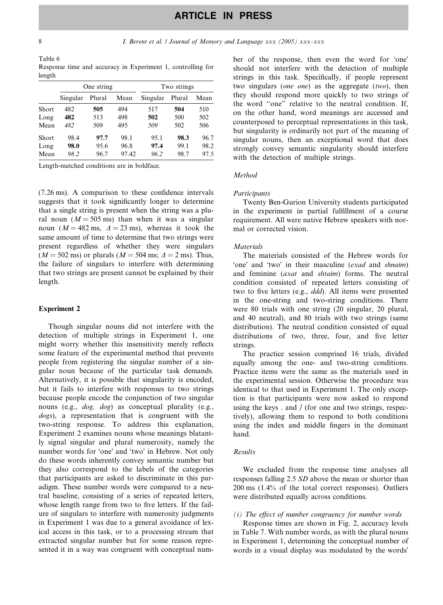Table 6 Response time and accuracy in Experiment 1, controlling for length

|       | One string |        |       | Two strings |        |      |  |
|-------|------------|--------|-------|-------------|--------|------|--|
|       | Singular   | Plural | Mean  | Singular    | Plural | Mean |  |
| Short | 482        | 505    | 494   | 517         | 504    | 510  |  |
| Long  | 482        | 513    | 498   | 502         | 500    | 502  |  |
| Mean  | 482        | 509    | 495   | 509         | 502    | 506  |  |
| Short | 98.4       | 97.7   | 98.1  | 95.1        | 98.3   | 96.7 |  |
| Long  | 98.0       | 95.6   | 96.8  | 97.4        | 99.1   | 98.2 |  |
| Mean  | 98.2       | 96.7   | 97.42 | 96.2        | 98.7   | 97.5 |  |

Length-matched conditions are in boldface.

(7.26 ms). A comparison to these confidence intervals suggests that it took significantly longer to determine that a single string is present when the string was a plural noun ( $M = 505$  ms) than when it was a singular noun ( $M = 482$  ms,  $\Delta = 23$  ms), whereas it took the same amount of time to determine that two strings were present regardless of whether they were singulars  $(M = 502 \text{ ms})$  or plurals  $(M = 504 \text{ ms}; \Delta = 2 \text{ ms})$ . Thus, the failure of singulars to interfere with determining that two strings are present cannot be explained by their length.

### Experiment 2

Though singular nouns did not interfere with the detection of multiple strings in Experiment 1, one might worry whether this insensitivity merely reflects some feature of the experimental method that prevents people from registering the singular number of a singular noun because of the particular task demands. Alternatively, it is possible that singularity is encoded, but it fails to interfere with responses to two strings because people encode the conjunction of two singular nouns (e.g., dog, dog) as conceptual plurality (e.g., dogs), a representation that is congruent with the two-string response. To address this explanation, Experiment 2 examines nouns whose meanings blatantly signal singular and plural numerosity, namely the number words for 'one' and 'two' in Hebrew. Not only do these words inherently convey semantic number but they also correspond to the labels of the categories that participants are asked to discriminate in this paradigm. These number words were compared to a neutral baseline, consisting of a series of repeated letters, whose length range from two to five letters. If the failure of singulars to interfere with numerosity judgments in Experiment 1 was due to a general avoidance of lexical access in this task, or to a processing stream that extracted singular number but for some reason represented it in a way was congruent with conceptual num-

ber of the response, then even the word for 'one' should not interfere with the detection of multiple strings in this task. Specifically, if people represent two singulars (*one one*) as the aggregate (*two*), then they should respond more quickly to two strings of the word ''one'' relative to the neutral condition. If, on the other hand, word meanings are accessed and counterposed to perceptual representations in this task, but singularity is ordinarily not part of the meaning of singular nouns, then an exceptional word that does strongly convey semantic singularity should interfere with the detection of multiple strings.

#### Method

#### Participants

Twenty Ben-Gurion University students participated in the experiment in partial fulfillment of a course requirement. All were native Hebrew speakers with normal or corrected vision.

### **Materials**

The materials consisted of the Hebrew words for 'one' and 'two' in their masculine (exad and shnaim) and feminine (axat and shtaim) forms. The neutral condition consisted of repeated letters consisting of two to five letters (e.g., ddd). All items were presented in the one-string and two-string conditions. There were 80 trials with one string (20 singular, 20 plural, and 40 neutral), and 80 trials with two strings (same distribution). The neutral condition consisted of equal distributions of two, three, four, and five letter strings.

The practice session comprised 16 trials, divided equally among the one- and two-string conditions. Practice items were the same as the materials used in the experimental session. Otherwise the procedure was identical to that used in Experiment 1. The only exception is that participants were now asked to respond using the keys . and / (for one and two strings, respectively), allowing them to respond to both conditions using the index and middle fingers in the dominant hand.

### Results

We excluded from the response time analyses all responses falling 2.5 SD above the mean or shorter than 200 ms (1.4% of the total correct responses). Outliers were distributed equally across conditions.

#### $(i)$  The effect of number congruency for number words

Response times are shown in Fig. 2, accuracy levels in Table 7. With number words, as with the plural nouns in Experiment 1, determining the conceptual number of words in a visual display was modulated by the words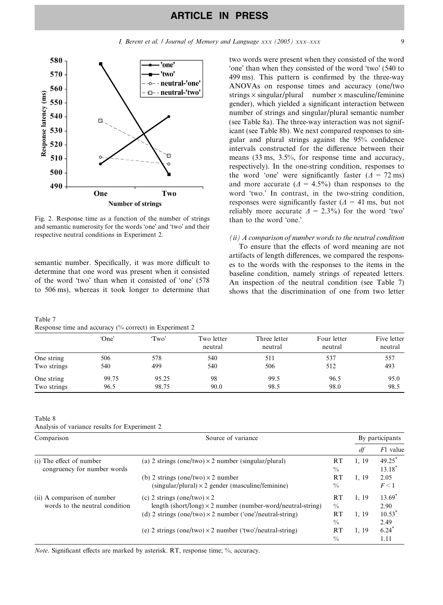

Fig. 2. Response time as a function of the number of strings and semantic numerosity for the words 'one' and 'two' and their respective neutral conditions in Experiment 2.

semantic number. Specifically, it was more difficult to determine that one word was present when it consisted of the word 'two' than when it consisted of 'one' (578) to 506 ms), whereas it took longer to determine that

Table 7 Response time and accuracy (% correct) in Experiment 2

two words were present when they consisted of the word 'one' than when they consisted of the word 'two' (540 to 499 ms). This pattern is confirmed by the three-way ANOVAs on response times and accuracy (one/two strings  $\times$  singular/plural number  $\times$  masculine/feminine gender), which yielded a significant interaction between number of strings and singular/plural semantic number (see Table 8a). The three-way interaction was not significant (see Table 8b). We next compared responses to singular and plural strings against the 95% confidence intervals constructed for the difference between their means (33 ms, 3.5%, for response time and accuracy, respectively). In the one-string condition, responses to the word 'one' were significantly faster  $(\Delta = 72 \text{ ms})$ and more accurate  $(\Delta = 4.5\%)$  than responses to the word 'two.' In contrast, in the two-string condition, responses were significantly faster ( $\Delta$  = 41 ms, but not reliably more accurate  $\Delta = 2.3\%$ ) for the word 'two' than to the word 'one.'

### (ii) A comparison of number words to the neutral condition

To ensure that the effects of word meaning are not artifacts of length differences, we compared the responses to the words with the responses to the items in the baseline condition, namely strings of repeated letters. An inspection of the neutral condition (see Table 7) shows that the discrimination of one from two letter

| .           |       |       |                       |                         |                        |                        |
|-------------|-------|-------|-----------------------|-------------------------|------------------------|------------------------|
|             | 'One' | 'Two  | Two letter<br>neutral | Three letter<br>neutral | Four letter<br>neutral | Five letter<br>neutral |
| One string  | 506   | 578   | 540                   | 511                     | 537                    | 557                    |
| Two strings | 540   | 499   | 540                   | 506                     | 512                    | 493                    |
| One string  | 99.75 | 95.25 | 98                    | 99.5                    | 96.5                   | 95.0                   |
| Two strings | 96.5  | 98.75 | 90.0                  | 98.5                    | 98.0                   | 98.5                   |

Table 8

Analysis of variance results for Experiment 2

| Comparison                     | Source of variance                                                 |               |       | By participants     |  |
|--------------------------------|--------------------------------------------------------------------|---------------|-------|---------------------|--|
|                                |                                                                    |               | df    | $F1$ value          |  |
| (i) The effect of number       | (a) 2 strings (one/two) $\times$ 2 number (singular/plural)        | <b>RT</b>     | 1.19  | 49.25               |  |
| congruency for number words    |                                                                    | $\frac{0}{0}$ |       | $13.18*$            |  |
|                                | (b) 2 strings (one/two) $\times$ 2 number                          | RT            | 1, 19 | 2.05                |  |
|                                | $(singular/plural) \times 2$ gender (masculine/feminine)           | $\frac{0}{0}$ |       | F<1                 |  |
| (ii) A comparison of number    | (c) 2 strings (one/two) $\times$ 2                                 | RT            | 1.19  | $13.69*$            |  |
| words to the neutral condition | length (short/long) $\times$ 2 number (number-word/neutral-string) | $\frac{0}{0}$ |       | 2.90                |  |
|                                | (d) 2 strings (one/two) $\times$ 2 number ('one'/neutral-string)   | <b>RT</b>     | 1.19  | $10.53^*$           |  |
|                                |                                                                    | $\frac{0}{0}$ |       | 2.49                |  |
|                                | (e) 2 strings (one/two) $\times$ 2 number ('two'/neutral-string)   | <b>RT</b>     | 1, 19 | $6.24$ <sup>*</sup> |  |
|                                |                                                                    | $\frac{0}{0}$ |       | 1.11                |  |

Note. Significant effects are marked by asterisk. RT, response time; %, accuracy.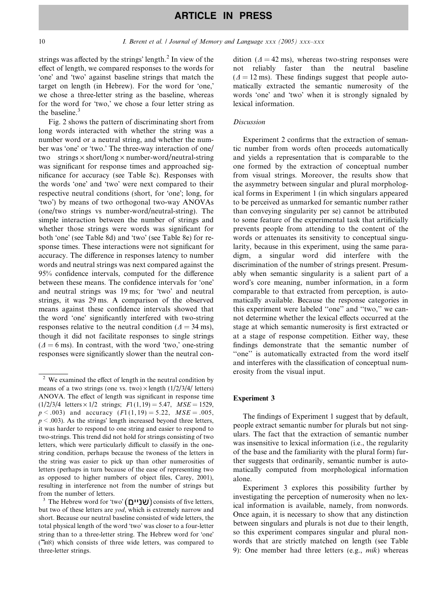strings was affected by the strings' length.<sup>2</sup> In view of the effect of length, we compared responses to the words for 'one' and 'two' against baseline strings that match the target on length (in Hebrew). For the word for 'one,' we chose a three-letter string as the baseline, whereas for the word for 'two,' we chose a four letter string as the baseline.<sup>3</sup>

Fig. 2 shows the pattern of discriminating short from long words interacted with whether the string was a number word or a neutral string, and whether the number was 'one' or 'two.' The three-way interaction of one/ two strings  $\times$  short/long  $\times$  number-word/neutral-string was significant for response times and approached significance for accuracy (see Table 8c). Responses with the words 'one' and 'two' were next compared to their respective neutral conditions (short, for 'one'; long, for -two) by means of two orthogonal two-way ANOVAs (one/two strings vs number-word/neutral-string). The simple interaction between the number of strings and whether those strings were words was significant for both 'one' (see Table 8d) and 'two' (see Table 8e) for response times. These interactions were not significant for accuracy. The difference in responses latency to number words and neutral strings was next compared against the 95% confidence intervals, computed for the difference between these means. The confidence intervals for 'one' and neutral strings was 19 ms; for 'two' and neutral strings, it was 29 ms. A comparison of the observed means against these confidence intervals showed that the word 'one' significantly interfered with two-string responses relative to the neutral condition ( $\Delta = 34$  ms), though it did not facilitate responses to single strings  $(4 = 6 \text{ ms})$ . In contrast, with the word 'two,' one-string responses were significantly slower than the neutral condition ( $\Delta = 42$  ms), whereas two-string responses were not reliably faster than the neutral baseline  $(4 = 12 \text{ ms})$ . These findings suggest that people automatically extracted the semantic numerosity of the words 'one' and 'two' when it is strongly signaled by lexical information.

### **Discussion**

Experiment 2 confirms that the extraction of semantic number from words often proceeds automatically and yields a representation that is comparable to the one formed by the extraction of conceptual number from visual strings. Moreover, the results show that the asymmetry between singular and plural morphological forms in Experiment 1 (in which singulars appeared to be perceived as unmarked for semantic number rather than conveying singularity per se) cannot be attributed to some feature of the experimental task that artificially prevents people from attending to the content of the words or attenuates its sensitivity to conceptual singularity, because in this experiment, using the same paradigm, a singular word did interfere with the discrimination of the number of strings present. Presumably when semantic singularity is a salient part of a word's core meaning, number information, in a form comparable to that extracted from perception, is automatically available. Because the response categories in this experiment were labeled ''one'' and ''two,'' we cannot determine whether the lexical effects occurred at the stage at which semantic numerosity is first extracted or at a stage of response competition. Either way, these findings demonstrate that the semantic number of "one" is automatically extracted from the word itself and interferes with the classification of conceptual numerosity from the visual input.

#### Experiment 3

The findings of Experiment 1 suggest that by default, people extract semantic number for plurals but not singulars. The fact that the extraction of semantic number was insensitive to lexical information (i.e., the regularity of the base and the familiarity with the plural form) further suggests that ordinarily, semantic number is automatically computed from morphological information alone.

Experiment 3 explores this possibility further by investigating the perception of numerosity when no lexical information is available, namely, from nonwords. Once again, it is necessary to show that any distinction between singulars and plurals is not due to their length, so this experiment compares singular and plural nonwords that are strictly matched on length (see Table 9): One member had three letters (e.g., mik) whereas

<sup>2</sup> We examined the effect of length in the neutral condition by means of a two strings (one vs. two)  $\times$  length (1/2/3/4/ letters) ANOVA. The effect of length was significant in response time  $(1/2/3/4$  letters  $\times 1/2$  strings;  $F1(1, 19) = 5.47$ ,  $MSE = 1529$ ,  $p < .003$ ) and accuracy  $(F1(1, 19) = 5.22, MSE = .005,$  $p < .003$ ). As the strings' length increased beyond three letters, it was harder to respond to one string and easier to respond to two-strings. This trend did not hold for strings consisting of two letters, which were particularly difficult to classify in the onestring condition, perhaps because the twoness of the letters in the string was easier to pick up than other numerosities of letters (perhaps in turn because of the ease of representing two as opposed to higher numbers of object files, Carey, 2001), resulting in interference not from the number of strings but from the number of letters.

<sup>&</sup>lt;sup>3</sup> The Hebrew word for 'two' (שניים) consists of five letters, but two of these letters are *vod*, which is extremely narrow and short. Because our neutral baseline consisted of wide letters, the total physical length of the word 'two' was closer to a four-letter string than to a three-letter string. The Hebrew word for 'one' ( $\exists$ InX) which consists of three wide letters, was compared to three-letter strings.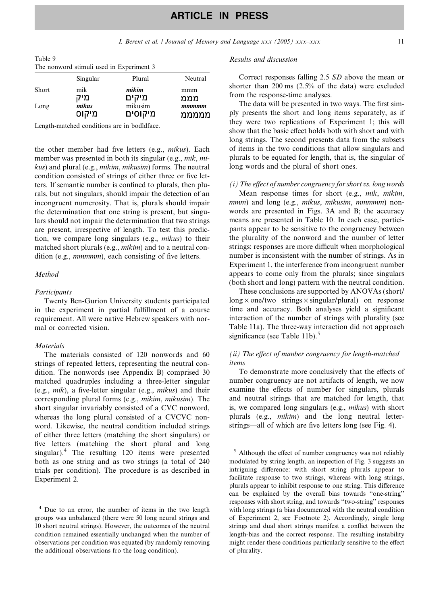| Table 9                                  |  |  |
|------------------------------------------|--|--|
| The nonword stimuli used in Experiment 3 |  |  |

|       | Singular | Plural  | Neutral |
|-------|----------|---------|---------|
| Short | mik      | mikim   | mmm     |
|       | מיק      | מיקים   | מממ     |
| Long  | mikus    | mikusim | mmmmm   |
|       | מיקוס    | מיקוסים | מממממ   |

Length-matched conditions are in bodldface.

the other member had five letters (e.g., mikus). Each member was presented in both its singular (e.g., *mik*, *mi*kus) and plural (e.g., mikim, mikusim) forms. The neutral condition consisted of strings of either three or five letters. If semantic number is confined to plurals, then plurals, but not singulars, should impair the detection of an incongruent numerosity. That is, plurals should impair the determination that one string is present, but singulars should not impair the determination that two strings are present, irrespective of length. To test this prediction, we compare long singulars (e.g., mikus) to their matched short plurals (e.g., mikim) and to a neutral condition (e.g., *mmmmm*), each consisting of five letters.

### Method

#### **Participants**

Twenty Ben-Gurion University students participated in the experiment in partial fulfillment of a course requirement. All were native Hebrew speakers with normal or corrected vision.

### **Materials**

The materials consisted of 120 nonwords and 60 strings of repeated letters, representing the neutral condition. The nonwords (see Appendix B) comprised 30 matched quadruples including a three-letter singular (e.g., mik), a five-letter singular (e.g., mikus) and their corresponding plural forms (e.g., mikim, mikusim). The short singular invariably consisted of a CVC nonword, whereas the long plural consisted of a CVCVC nonword. Likewise, the neutral condition included strings of either three letters (matching the short singulars) or five letters (matching the short plural and long singular).<sup>4</sup> The resulting 120 items were presented both as one string and as two strings (a total of 240 trials per condition). The procedure is as described in Experiment 2.

### Results and discussion

Correct responses falling 2.5 SD above the mean or shorter than 200 ms (2.5% of the data) were excluded from the response-time analyses.

The data will be presented in two ways. The first simply presents the short and long items separately, as if they were two replications of Experiment 1; this will show that the basic effect holds both with short and with long strings. The second presents data from the subsets of items in the two conditions that allow singulars and plurals to be equated for length, that is, the singular of long words and the plural of short ones.

### (i) The effect of number congruency for short vs. long words

Mean response times for short (e.g., mik, mikim, mmm) and long (e.g., mikus, mikusim, mmmmm) nonwords are presented in Figs. 3A and B; the accuracy means are presented in Table 10. In each case, participants appear to be sensitive to the congruency between the plurality of the nonword and the number of letter strings: responses are more difficult when morphological number is inconsistent with the number of strings. As in Experiment 1, the interference from incongruent number appears to come only from the plurals; since singulars (both short and long) pattern with the neutral condition.

These conclusions are supported by ANOVAs (short/  $\log x$  one/two strings  $\times$  singular/plural) on response time and accuracy. Both analyses yield a significant interaction of the number of strings with plurality (see Table 11a). The three-way interaction did not approach significance (see Table 11b). $<sup>5</sup>$ </sup>

# (ii) The effect of number congruency for length-matched items

To demonstrate more conclusively that the effects of number congruency are not artifacts of length, we now examine the effects of number for singulars, plurals and neutral strings that are matched for length, that is, we compared long singulars (e.g., mikus) with short plurals (e.g., mikim) and the long neutral letterstrings—all of which are five letters long (see Fig. 4).

<sup>4</sup> Due to an error, the number of items in the two length groups was unbalanced (there were 50 long neural strings and 10 short neutral strings). However, the outcomes of the neutral condition remained essentially unchanged when the number of observations per condition was equated (by randomly removing the additional observations fro the long condition).

<sup>5</sup> Although the effect of number congruency was not reliably modulated by string length, an inspection of Fig. 3 suggests an intriguing difference: with short string plurals appear to facilitate response to two strings, whereas with long strings, plurals appear to inhibit response to one string. This difference can be explained by the overall bias towards ''one-string'' responses with short string, and towards ''two-string'' responses with long strings (a bias documented with the neutral condition of Experiment 2, see Footnote 2). Accordingly, single long strings and dual short strings manifest a conflict between the length-bias and the correct response. The resulting instability might render these conditions particularly sensitive to the effect of plurality.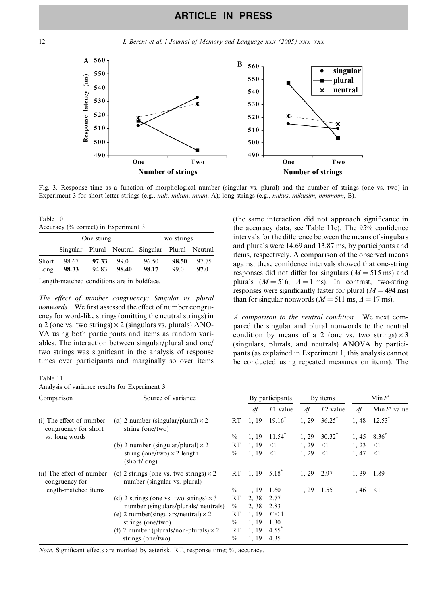12 I. Berent et al. / Journal of Memory and Language xxx (2005) xxx-xxx



Fig. 3. Response time as a function of morphological number (singular vs. plural) and the number of strings (one vs. two) in Experiment 3 for short letter strings (e.g., mik, mikim, mmm, A); long strings (e.g., mikus, mikusim, mmmmm, B).

Table 10 Accuracy (% correct) in Experiment 3

|       | One string |       |       | Two strings                                     |       |       |  |
|-------|------------|-------|-------|-------------------------------------------------|-------|-------|--|
|       |            |       |       | Singular Plural Neutral Singular Plural Neutral |       |       |  |
| Short | 98.67      | 97.33 | 99.0  | 96.50                                           | 98.50 | 97 75 |  |
| Long  | 98.33      | 94.83 | 98.40 | 98.17                                           | 99.0  | 97.0  |  |

Length-matched conditions are in boldface.

Analysis of variance results for Experiment 3

Table 11

The effect of number congruency: Singular vs. plural nonwords. We first assessed the effect of number congruency for word-like strings (omitting the neutral strings) in a 2 (one vs. two strings)  $\times$  2 (singulars vs. plurals) ANO-VA using both participants and items as random variables. The interaction between singular/plural and one/ two strings was significant in the analysis of response times over participants and marginally so over items (the same interaction did not approach significance in the accuracy data, see Table 11c). The 95% confidence intervals for the difference between the means of singulars and plurals were 14.69 and 13.87 ms, by participants and items, respectively. A comparison of the observed means against these confidence intervals showed that one-string responses did not differ for singulars ( $M = 515$  ms) and plurals  $(M = 516, \Delta = 1 \text{ ms})$ . In contrast, two-string responses were significantly faster for plural ( $M = 494$  ms) than for singular nonwords ( $M = 511$  ms,  $\Delta = 17$  ms).

A comparison to the neutral condition. We next compared the singular and plural nonwords to the neutral condition by means of a 2 (one vs. two strings)  $\times$  3 (singulars, plurals, and neutrals) ANOVA by participants (as explained in Experiment 1, this analysis cannot be conducted using repeated measures on items). The

| Comparison                                       | Source of variance                                                             |               |                           | By participants     |       | By items   |                | Min F'                 |  |
|--------------------------------------------------|--------------------------------------------------------------------------------|---------------|---------------------------|---------------------|-------|------------|----------------|------------------------|--|
|                                                  |                                                                                |               | df                        | $F1$ value          | df    | $F2$ value | df             | $\text{Min } F'$ value |  |
| (i) The effect of number<br>congruency for short | (a) 2 number (singular/plural) $\times$ 2<br>string $(one/two)$                |               | RT 1, 19                  | $19.16^*$           | 1.29  | $36.25^*$  | 1, 48          | $12.53^*$              |  |
| vs. long words                                   |                                                                                | $\frac{0}{0}$ |                           | 1.19 $11.54^*$      | 1, 29 | $30.32^*$  | 1, 45          | $8.36^{*}$             |  |
|                                                  | (b) 2 number (singular/plural) $\times$ 2                                      | RT            | 1, 19                     | $\leq$ 1            | 1, 29 | $\leq$ 1   | 1, 23 $\leq$ 1 |                        |  |
|                                                  | string (one/two) $\times$ 2 length<br>(short/long)                             | $\frac{0}{0}$ | 1, 19                     | $\leq$ 1            | 1, 29 | $\leq$ 1   | 1, 47          | $\leq$ 1               |  |
| (ii) The effect of number<br>congruency for      | (c) 2 strings (one vs. two strings) $\times$ 2<br>number (singular vs. plural) |               | RT 1.19 5.18 <sup>*</sup> |                     | 1, 29 | 2.97       | 1, 39          | 1.89                   |  |
| length-matched items                             |                                                                                | $\frac{0}{0}$ | 1, 19                     | 1.60                | 1, 29 | 1.55       | 1, 46          | $\leq$ 1               |  |
|                                                  | (d) 2 strings (one vs. two strings) $\times$ 3                                 | RT            | 2, 38                     | 2.77                |       |            |                |                        |  |
|                                                  | number (singulars/plurals/neutrals)                                            | $\frac{0}{0}$ | 2, 38                     | 2.83                |       |            |                |                        |  |
|                                                  | (e) 2 number(singulars/neutral) $\times$ 2                                     | RT            | 1, 19                     | $F \leq 1$          |       |            |                |                        |  |
|                                                  | strings (one/two)                                                              | $\frac{0}{0}$ | 1, 19                     | 1.30                |       |            |                |                        |  |
|                                                  | (f) 2 number (plurals/non-plurals) $\times$ 2                                  | <b>RT</b>     | 1, 19                     | $4.55$ <sup>*</sup> |       |            |                |                        |  |
|                                                  | strings (one/two)                                                              | $\frac{0}{0}$ | 1, 19                     | 4.35                |       |            |                |                        |  |

Note. Significant effects are marked by asterisk. RT, response time; %, accuracy.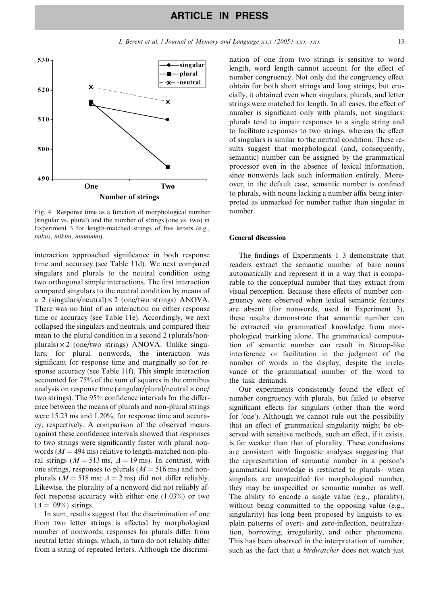

Fig. 4. Response time as a function of morphological number (singular vs. plural) and the number of strings (one vs. two) in Experiment 3 for length-matched strings of five letters (e.g., mikus, mikim, mmmmm).

interaction approached significance in both response time and accuracy (see Table 11d). We next compared singulars and plurals to the neutral condition using two orthogonal simple interactions. The first interaction compared singulars to the neutral condition by means of a 2 (singulars/neutral)  $\times$  2 (one/two strings) ANOVA. There was no hint of an interaction on either response time or accuracy (see Table 11e). Accordingly, we next collapsed the singulars and neutrals, and compared their mean to the plural condition in a second 2 (plurals/nonplurals)  $\times$  2 (one/two strings) ANOVA. Unlike singulars, for plural nonwords, the interaction was significant for response time and marginally so for response accuracy (see Table 11f). This simple interaction accounted for 75% of the sum of squares in the omnibus analysis on response time (singular/plural/neutral  $\times$  one/ two strings). The 95% confidence intervals for the difference between the means of plurals and non-plural strings were 15.23 ms and 1.20%, for response time and accuracy, respectively. A comparison of the observed means against these confidence intervals showed that responses to two strings were significantly faster with plural nonwords ( $M = 494$  ms) relative to length-matched non-plural strings ( $M = 513$  ms,  $\Delta = 19$  ms). In contrast, with one strings, responses to plurals ( $M = 516$  ms) and nonplurals ( $M = 518$  ms;  $\Delta = 2$  ms) did not differ reliably. Likewise, the plurality of a nonword did not reliably affect response accuracy with either one (1.03%) or two  $(\Delta = .09\%)$  strings.

In sum, results suggest that the discrimination of one from two letter strings is affected by morphological number of nonwords: responses for plurals differ from neutral letter strings, which, in turn do not reliably differ from a string of repeated letters. Although the discrimination of one from two strings is sensitive to word length, word length cannot account for the effect of number congruency. Not only did the congruency effect obtain for both short strings and long strings, but crucially, it obtained even when singulars, plurals, and letter strings were matched for length. In all cases, the effect of number is significant only with plurals, not singulars: plurals tend to impair responses to a single string and to facilitate responses to two strings, whereas the effect of singulars is similar to the neutral condition. These results suggest that morphological (and, consequently, semantic) number can be assigned by the grammatical processor even in the absence of lexical information, since nonwords lack such information entirely. Moreover, in the default case, semantic number is confined to plurals, with nouns lacking a number affix being interpreted as unmarked for number rather than singular in number.

### General discussion

The findings of Experiments 1–3 demonstrate that readers extract the semantic number of bare nouns automatically and represent it in a way that is comparable to the conceptual number that they extract from visual perception. Because these effects of number congruency were observed when lexical semantic features are absent (for nonwords, used in Experiment 3), these results demonstrate that semantic number can be extracted via grammatical knowledge from morphological marking alone. The grammatical computation of semantic number can result in Stroop-like interference or facilitation in the judgment of the number of words in the display, despite the irrelevance of the grammatical number of the word to the task demands.

Our experiments consistently found the effect of number congruency with plurals, but failed to observe significant effects for singulars (other than the word for 'one'). Although we cannot rule out the possibility that an effect of grammatical singularity might be observed with sensitive methods, such an effect, if it exists, is far weaker than that of plurality. These conclusions are consistent with linguistic analyses suggesting that the representation of semantic number in a person's grammatical knowledge is restricted to plurals—when singulars are unspecified for morphological number, they may be unspecified or semantic number as well. The ability to encode a single value (e.g., plurality), without being committed to the opposing value (e.g., singularity) has long been proposed by linguists to explain patterns of overt- and zero-inflection, neutralization, borrowing, irregularity, and other phenomena. This has been observed in the interpretation of number, such as the fact that a birdwatcher does not watch just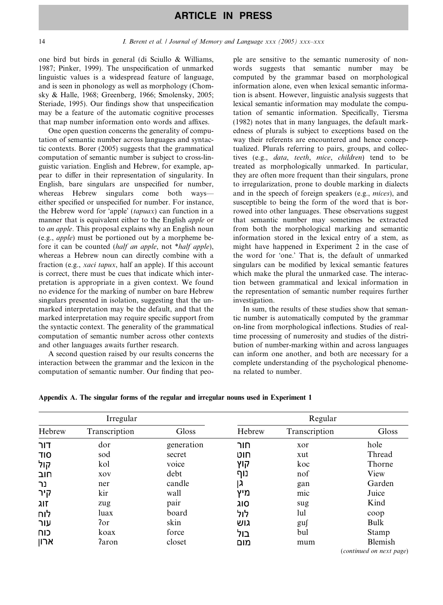one bird but birds in general (di Sciullo & Williams, 1987; Pinker, 1999). The unspecification of unmarked linguistic values is a widespread feature of language, and is seen in phonology as well as morphology (Chomsky & Halle, 1968; Greenberg, 1966; Smolensky, 2005; Steriade, 1995). Our findings show that unspecification may be a feature of the automatic cognitive processes that map number information onto words and affixes.

One open question concerns the generality of computation of semantic number across languages and syntactic contexts. Borer (2005) suggests that the grammatical computation of semantic number is subject to cross-linguistic variation. English and Hebrew, for example, appear to differ in their representation of singularity. In English, bare singulars are unspecified for number, whereas Hebrew singulars come both ways either specified or unspecified for number. For instance, the Hebrew word for 'apple' (tapuax) can function in a manner that is equivalent either to the English apple or to an apple. This proposal explains why an English noun (e.g., apple) must be portioned out by a morpheme before it can be counted (half an apple, not \*half apple), whereas a Hebrew noun can directly combine with a fraction (e.g., xaci tapux, half an apple). If this account is correct, there must be cues that indicate which interpretation is appropriate in a given context. We found no evidence for the marking of number on bare Hebrew singulars presented in isolation, suggesting that the unmarked interpretation may be the default, and that the marked interpretation may require specific support from the syntactic context. The generality of the grammatical computation of semantic number across other contexts and other languages awaits further research.

A second question raised by our results concerns the interaction between the grammar and the lexicon in the computation of semantic number. Our finding that people are sensitive to the semantic numerosity of nonwords suggests that semantic number may be computed by the grammar based on morphological information alone, even when lexical semantic information is absent. However, linguistic analysis suggests that lexical semantic information may modulate the computation of semantic information. Specifically, Tiersma (1982) notes that in many languages, the default markedness of plurals is subject to exceptions based on the way their referents are encountered and hence conceptualized. Plurals referring to pairs, groups, and collectives (e.g., data, teeth, mice, children) tend to be treated as morphologically unmarked. In particular, they are often more frequent than their singulars, prone to irregularization, prone to double marking in dialects and in the speech of foreign speakers (e.g., mices), and susceptible to being the form of the word that is borrowed into other languages. These observations suggest that semantic number may sometimes be extracted from both the morphological marking and semantic information stored in the lexical entry of a stem, as might have happened in Experiment 2 in the case of the word for 'one.' That is, the default of unmarked singulars can be modified by lexical semantic features which make the plural the unmarked case. The interaction between grammatical and lexical information in the representation of semantic number requires further investigation.

In sum, the results of these studies show that semantic number is automatically computed by the grammar on-line from morphological inflections. Studies of realtime processing of numerosity and studies of the distribution of number-marking within and across languages can inform one another, and both are necessary for a complete understanding of the psychological phenomena related to number.

| Appendix A. The singular forms of the regular and irregular nouns used in Experiment 1 |  |  |  |  |
|----------------------------------------------------------------------------------------|--|--|--|--|
|                                                                                        |  |  |  |  |

| Irregular  |               |            | Regular    |               |                          |  |  |
|------------|---------------|------------|------------|---------------|--------------------------|--|--|
| Hebrew     | Transcription | Gloss      | Hebrew     | Transcription | Gloss                    |  |  |
| דור        | dor           | generation | חור        | xor           | hole                     |  |  |
| <b>TIO</b> | sod           | secret     | חוט        | xut           | Thread                   |  |  |
| קול        | kol           | voice      | קוץ        | koc           | Thorne                   |  |  |
| חוב        | XOV           | debt       | נוף        | nof           | View                     |  |  |
| נר         | ner           | candle     | גן         | gan           | Garden                   |  |  |
| קיר        | kir           | wall       | מיץ        | mic           | Juice                    |  |  |
| זוג        | zug           | pair       | <b>210</b> | sug           | Kind                     |  |  |
| לוח        | luax          | board      | לול        | lul           | coop                     |  |  |
| עור        | 7or           | skin       | גוש        | gu∫           | Bulk                     |  |  |
| כוח        | koax          | force      | בול        | bul           | Stamp                    |  |  |
| ארון       | Paron         | closet     | מום        | mum           | Blemish                  |  |  |
|            |               |            |            |               | (continued on next page) |  |  |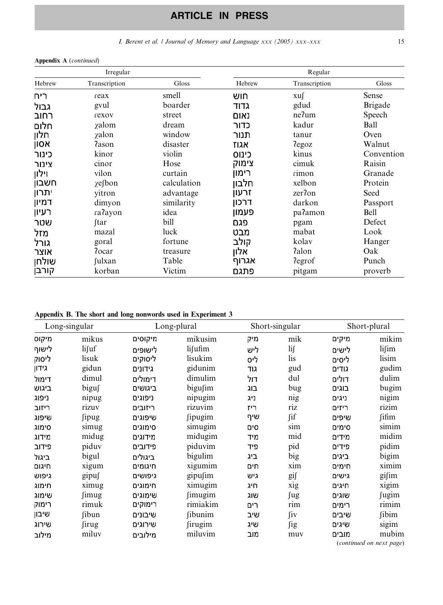## Appendix A (continued)

| Irregular |               |             |        | Regular       |                |  |  |  |
|-----------|---------------|-------------|--------|---------------|----------------|--|--|--|
| Hebrew    | Transcription | Gloss       | Hebrew | Transcription | Gloss          |  |  |  |
| ריח       | reax          | smell       | חוש    | xu∫           | Sense          |  |  |  |
| גבול      | gvul          | boarder     | גדוד   | gdud          | <b>Brigade</b> |  |  |  |
| רחוב      | rexov         | street      | נאום   | ne?um         | Speech         |  |  |  |
| חלום      | γalom         | dream       | כדור   | kadur         | Ball           |  |  |  |
| חלון      | γalon         | window      | תנור   | tanur         | Oven           |  |  |  |
| אסון      | <b>7ason</b>  | disaster    | אגוז   | ?egoz         | Walnut         |  |  |  |
| כינור     | kinor         | violin      | כינוס  | kinus         | Convention     |  |  |  |
| צינור     | cinor         | Hose        | צימוק  | cimuk         | Raisin         |  |  |  |
| וילון     | vilon         | curtain     | רימון  | rimon         | Granade        |  |  |  |
| חשבון     | $\chi$ esbon  | calculation | חלבון  | xelbon        | Protein        |  |  |  |
| יתרון     | yitron        | advantage   | זרעוו  | zer?on        | Seed           |  |  |  |
| דמיון     | dimyon        | similarity  | דרכון  | darkon        | Passport       |  |  |  |
| רעיון     | ra?ayon       | idea        | פעמון  | pa?amon       | Bell           |  |  |  |
| שטר       | ftar          | bill        | פגם    | pgam          | Defect         |  |  |  |
| מזל       | mazal         | luck        | מבט    | mabat         | Look           |  |  |  |
| גורל      | goral         | fortune     | קולב   | kolav         | Hanger         |  |  |  |
| אוצר      | 7 ocar        | treasure    | אלון   | ?alon         | Oak            |  |  |  |
| שולחן     | fulxan        | Table       | אגרוף  | ?egrof        | Punch          |  |  |  |
| קורבן     | korban        | Victim      | פתגם   | pitgam        | proverb        |  |  |  |

|  |  |  |  |  | Appendix B. The short and long nonwords used in Experiment 3 |  |
|--|--|--|--|--|--------------------------------------------------------------|--|
|--|--|--|--|--|--------------------------------------------------------------|--|

| Long-singular |              |         | Long-plural    |     | Short-singular |                          | Short-plural |  |
|---------------|--------------|---------|----------------|-----|----------------|--------------------------|--------------|--|
| מיקוס         | mikus        | מיקוסים | mikusim        | מיק | mik            | מיקים                    | mikim        |  |
| לישוף         | $\iiint\inf$ | לישופים | lifufim        | ליש | lif            | לישים                    | $\lim$       |  |
| ליסוק         | lisuk        | ליסוקים | lisukim        | ליס | lis            | ליסים                    | lisim        |  |
| גידון         | gidun        | גידונים | gidunim        | גוד | gud            | גודים                    | gudim        |  |
| דימול         | dimul        | דימולים | dimulim        | דול | dul            | דולים                    | dulim        |  |
| ביגוש         | biguf        | ביגושים | bigufim        | בוג | bug            | בוגים                    | bugim        |  |
| ניפוג         | nipug        | ניפוגים | nipugim        | ניג | nig            | ניגים                    | nigim        |  |
| ריזוב         | rizuv        | ריזובים | rizuvim        | ריז | riz            | ריזים                    | rizim        |  |
| שיפוג         | fipug        | שיפוגים | fipugim        | שיף | fif            | שיפים                    | fifim        |  |
| סימוג         | simug        | סימוגים | simugim        | סים | sim            | סימים                    | simim        |  |
| מידוג         | midug        | מידוגים | midugim        | מיד | mid            | מידים                    | midim        |  |
| פידוב         | piduv        | פידובים | piduvim        | פיד | pid            | פידים                    | pidim        |  |
| ביגול         | bigul        | ביגולים | bigulim        | ביג | big            | ביגים                    | bigim        |  |
| חיגום         | xigum        | חיגומים | xigumim        | חים | xim            | חימים                    | ximim        |  |
| גיפוש         | $g$ ipus     | גיפושים | gipufim        | גיש | gi∫            | גישים                    | gifim        |  |
| חימוג         | ximug        | חימוגים | ximugim        | חיג | xig            | חיגים                    | xigim        |  |
| שימוג         | fimug        | שימוגים | <i>fimugim</i> | שוג | ∫ug            | שוגים                    | ∫ugim        |  |
| רימוק         | rimuk        | רימוקים | rimiakim       | רים | rim            | רימים                    | rimim        |  |
| שיבון         | <i>fibun</i> | שיבונים | <i>fibunim</i> | שיב | ∫iv            | שיבים                    | fibim        |  |
| שירוג         | <i>firug</i> | שירוגים | firugim        | שיג | fig            | שיגים                    | sigim        |  |
| מילוב         | miluv        | מילובים | miluvim        | מוב | muv            | מובים                    | mubim        |  |
|               |              |         |                |     |                | (continued on next page) |              |  |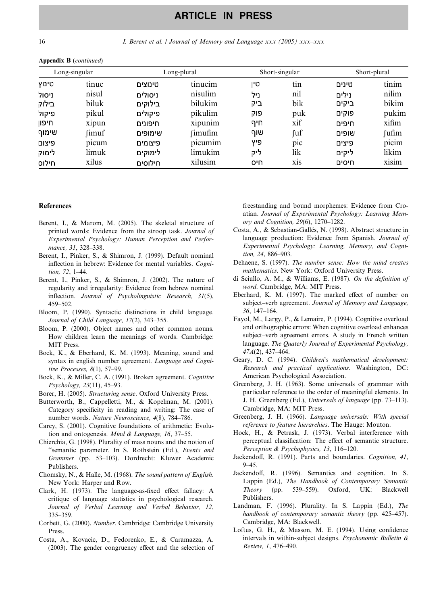xipun xipunim xif xifim Simuf Simufim Suf Sufim picum picumim pic picim limuk limukim lik likim xilus xilusim xis xisim

16 **I.** Berent et al. *| Journal of Memory and Language xxx* (2005) xxx–xxx

חיפון שימוף פיצום לימוק חילוס

| . .   |               |         |             |     |                |       |              |
|-------|---------------|---------|-------------|-----|----------------|-------|--------------|
|       | Long-singular |         | Long-plural |     | Short-singular |       | Short-plural |
| טינוץ | tınuc         | טינוצים | tinucim     | טיו | tın            | טינים | tinim        |
| ניסול | nisul         | ניסולים | nisulim     | ניל | nıl            | נילים | nilim        |
| בילוק | biluk         | בילוקים | bilukim     | ביק | bik            | ביקים | bikim        |
| פיקול | pikul         | פיקולים | pikulim     | פוק | puk            | פוקים | pukim        |

Appendix B (continued)

## References

- Berent, I., & Marom, M. (2005). The skeletal structure of printed words: Evidence from the stroop task. Journal of Experimental Psychology: Human Perception and Performance, 31, 328–338.
- Berent, I., Pinker, S., & Shimron, J. (1999). Default nominal inflection in hebrew: Evidence for mental variables. Cognition, 72, 1–44.
- Berent, I., Pinker, S., & Shimron, J. (2002). The nature of regularity and irregularity: Evidence from hebrew nominal inflection. Journal of Psycholinguistic Research, 31(5), 459–502.
- Bloom, P. (1990). Syntactic distinctions in child language. Journal of Child Language, 17(2), 343–355.
- Bloom, P. (2000). Object names and other common nouns. How children learn the meanings of words. Cambridge: MIT Press.
- Bock, K., & Eberhard, K. M. (1993). Meaning, sound and syntax in english number agreement. Language and Cognitive Processes, 8(1), 57–99.
- Bock, K., & Miller, C. A. (1991). Broken agreement. Cognitive Psychology, 23(11), 45–93.
- Borer, H. (2005). Structuring sense. Oxford University Press.
- Butterworth, B., Cappelletti, M., & Kopelman, M. (2001). Category specificity in reading and writing: The case of number words. Nature Neuroscience, 4(8), 784–786.
- Carey, S. (2001). Cognitive foundations of arithmetic: Evolution and ontogenesis. Mind & Language, 16, 37–55.
- Chierchia, G. (1998). Plurality of mass nouns and the notion of ''semantic parameter. In S. Rothstein (Ed.), Events and Grammer (pp. 53–103). Dordrecht: Kluwer Academic Publishers.
- Chomsky, N., & Halle, M. (1968). The sound pattern of English. New York: Harper and Row.
- Clark, H. (1973). The language-as-fixed effect fallacy: A critique of language statistics in psychological research. Journal of Verbal Learning and Verbal Behavior, 12, 335–359.
- Corbett, G. (2000). Number. Cambridge: Cambridge University Press.
- Costa, A., Kovacic, D., Fedorenko, E., & Caramazza, A. (2003). The gender congruency effect and the selection of

freestanding and bound morphemes: Evidence from Croatian. Journal of Experimental Psychology: Learning Memory and Cognition, 29(6), 1270–1282.

- Costa, A., & Sebastian-Gallés, N. (1998). Abstract structure in language production: Evidence from Spanish. Journal of Experimental Psychology: Learning, Memory, and Cognition, 24, 886–903.
- Dehaene, S. (1997). The number sense: How the mind creates mathematics. New York: Oxford University Press.
- di Sciullo, A. M., & Williams, E. (1987). On the definition of word. Cambridge, MA: MIT Press.
- Eberhard, K. M. (1997). The marked effect of number on subject-verb agreement. Journal of Memory and Language, 36, 147–164.
- Fayol, M., Largy, P., & Lemaire, P. (1994). Cognitive overload and orthographic errors: When cognitive overload enhances subject–verb agreement errors. A study in French written language. The Quaterly Journal of Experimental Psychology, 47A(2), 437–464.
- Geary, D. C. (1994). Children's mathematical development: Research and practical applications. Washington, DC: American Psychological Association.
- Greenberg, J. H. (1963). Some universals of grammar with particular reference to the order of meaningful elements. In J. H. Greenberg (Ed.), Universals of language (pp. 73–113). Cambridge, MA: MIT Press.
- Greenberg, J. H. (1966). Language universals: With special reference to feature hierarchies. The Hauge: Mouton.
- Hock, H., & Petrask, J. (1973). Verbal interference with perceptual classification: The effect of semantic structure. Perception & Psychophysics, 13, 116–120.
- Jackendoff, R. (1991). Parts and boundaries. Cognition, 41, 9–45.
- Jackendoff, R. (1996). Semantics and cognition. In S. Lappin (Ed.), The Handbook of Contemporary Semantic Theory (pp. 539–559). Oxford, UK: Blackwell Publishers.
- Landman, F. (1996). Plurality. In S. Lappin (Ed.), The handbook of contemporary semantic theory (pp. 425-457). Cambridge, MA: Blackwell.
- Loftus, G. H., & Masson, M. E. (1994). Using confidence intervals in within-subject designs. Psychonomic Bulletin & Review, 1, 476–490.